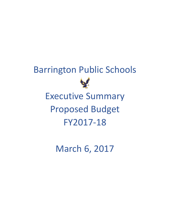# Barrington Public Schools Executive Summary Proposed Budget FY2017-18

March 6, 2017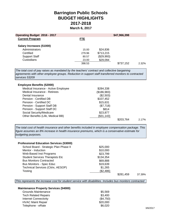## **Barrington Public Schools BUDGET HIGHLIGHTS 2017-2018 March 6, 2017**

| <b>Operating Budget 2016 - 2017</b> |            |            | \$47,966,398 |       |
|-------------------------------------|------------|------------|--------------|-------|
| <b>Current Program</b>              | <b>FTE</b> |            |              |       |
| Salary Increases (51000)            |            |            |              |       |
| Administrators                      | 15.00      | \$24,836   |              |       |
| Certified                           | 279.96     | \$713,215  |              |       |
| <b>Support Staff</b>                | 80.57      | (\$29,993) |              |       |
| Custodians                          | 23.00      | \$29,094   |              |       |
|                                     | 398.53     |            | \$737,152    | 2.32% |
|                                     |            |            |              |       |

*The total cost of pay raises as mandated by the teachers' contract and collective bargaining agreements with other employee groups. Reduction in support staff transferred monitors to contracted services 53209*

#### **Employee Benefits (52000)**

| Medical Insurance - Active Employee | \$284,338   |           |       |
|-------------------------------------|-------------|-----------|-------|
| Medical Insurance - Retirees        | (\$186,983) |           |       |
| Dental Insurance                    | (\$2,503)   |           |       |
| Pension - Certified DB              | \$107,452   |           |       |
| Pension - Certified DC              | \$15,631    |           |       |
| Pension - Support Staff DB          | (\$7,718)   |           |       |
| Pension - Support Staff DC          | \$814       |           |       |
| Social Security/Medicare            | \$23,877    |           |       |
| Other Benefits (Life, Medical BB)   | (\$31,143)  |           |       |
|                                     |             | \$203,764 | 2.17% |
|                                     |             |           |       |

*The total cost of health insurance and other benefits included in employee compensation package. This figure assumes an 8% increase in health insurance premiums, which is a conservative estimate for budgeting purposes.*

| <b>Professional Education Services (53000)</b> |           |           |        |
|------------------------------------------------|-----------|-----------|--------|
| School Board - Strategic Plan Phase II         | \$25,000  |           |        |
| Mentor - Induction                             | \$10,000  |           |        |
| Web-Based Inst Programs                        | \$23,799  |           |        |
| <b>Student Services Therapists Etc</b>         | \$134,354 |           |        |
| <b>Bus Monitors Contracted</b>                 | \$69,888  |           |        |
| <b>Bus Monitors - Spec Educ</b>                | \$19,639  |           |        |
| Technical Services (Citrix, AESOP)             | \$1,265   |           |        |
| Testing                                        | (\$2,486) |           |        |
|                                                |           | \$281.459 | 37.39% |

*This represents the increase cost for student service with disabilities. Includes bus monitors contracted* 

| <b>Maintenance Property Services (54000)</b> |           |
|----------------------------------------------|-----------|
| Grounds Maintenance                          | \$5,569   |
| <b>Tech Related Repairs</b>                  | \$3,400   |
| <b>Internet Connectivity</b>                 | (\$4,750) |
| <b>HVAC Maint Repair</b>                     | \$20,000  |
| Telephone - eRate                            | \$6,020   |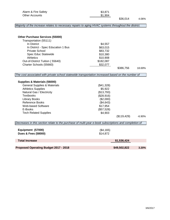| Alarm & Fire Safety                                                                                   | \$3,871    |              |          |
|-------------------------------------------------------------------------------------------------------|------------|--------------|----------|
| <b>Other Accounts</b>                                                                                 | \$1,904    | \$36,014     | 4.06%    |
| Majority of the increase relates to necessary repairs to aging HVAC systems throughout the district.  |            |              |          |
|                                                                                                       |            |              |          |
|                                                                                                       |            |              |          |
| <b>Other Purchase Services (55000)</b>                                                                |            |              |          |
| Transportation (55111)                                                                                |            |              |          |
| In District                                                                                           | \$4,557    |              |          |
| In District - Spec Education 1 Bus                                                                    | \$63,015   |              |          |
| Private School                                                                                        | \$83,732   |              |          |
| Spec Educ Statewide                                                                                   | \$10,380   |              |          |
| <b>Athletics</b>                                                                                      | \$10,908   |              |          |
| Out-of-District Tuition (55640)                                                                       | \$182,087  |              |          |
| Charter Schools (55660)                                                                               | \$32,077   |              |          |
|                                                                                                       |            | \$386,756    | 18.69%   |
| The cost associated with private school statewide transportation increased based on the number of     |            |              |          |
|                                                                                                       |            |              |          |
| Supplies & Materials (56000)                                                                          |            |              |          |
| <b>General Supplies &amp; Materials</b>                                                               | (\$41,328) |              |          |
| <b>Athletics Supplies</b>                                                                             | \$5,922    |              |          |
| Natural Gas / Electricity                                                                             | (\$13,793) |              |          |
| <b>Textbooks</b>                                                                                      | (\$28,916) |              |          |
| <b>Library Books</b>                                                                                  | (\$2,000)  |              |          |
| <b>Reference Books</b>                                                                                | (\$4,643)  |              |          |
| Web-based Software                                                                                    | \$17,954   |              |          |
| E-Books                                                                                               | (\$57,528) |              |          |
| <b>Tech Related Supplies</b>                                                                          | \$4,903    |              |          |
|                                                                                                       |            | (\$119,429)  | $-6.90%$ |
| Decreases in this section relate to the purchase of multi-year e-book subscriptions and completion of |            |              |          |
|                                                                                                       |            |              |          |
| Equipment (57000)                                                                                     | (\$4,165)  |              |          |
| <b>Dues &amp; Fees (58000)</b>                                                                        | \$14,872   |              |          |
|                                                                                                       |            |              |          |
| <b>Total Increase</b>                                                                                 |            | \$1,536,424  |          |
|                                                                                                       |            |              |          |
| Proposed Operating Budget 2017 - 2018                                                                 |            | \$49,502,822 | 3.20%    |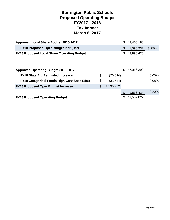## **Barrington Public Schools Proposed Operating Budget FY2017 - 2018 Tax Impact March 6, 2017**

| Approved Local Share Budget 2016-2017             |                 | \$  | 42,406,188 |          |
|---------------------------------------------------|-----------------|-----|------------|----------|
| <b>FY18 Proposed Oper Budget Incr/(Dcr)</b>       |                 | \$  | 1,590,232  | 3.75%    |
| <b>FY18 Proposed Local Share Operating Budget</b> |                 | \$  | 43,996,420 |          |
| <b>Approved Operating Budget 2016-2017</b>        |                 | \$. | 47,966,398 |          |
| <b>FY18 State Aid Estimated Increase</b>          | \$<br>(20,094)  |     |            | $-0.05%$ |
| <b>FY18 Categorical Funds High Cost Spec Educ</b> | \$<br>(33, 714) |     |            | $-0.08%$ |
| <b>FY18 Proposed Oper Budget Increase</b>         | \$<br>1,590,232 |     |            |          |
|                                                   |                 | \$  | 1,536,424  | 3.20%    |
| <b>FY18 Proposed Operating Budget</b>             |                 | \$  | 49,502,822 |          |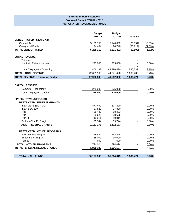#### **Barrington Public Schools Proposed Budget FY2017 - 2018 ANTICIPATED REVENUE ALL FUNDS**

|                                         | <b>Budget</b> | <b>Budget</b> |           |           |
|-----------------------------------------|---------------|---------------|-----------|-----------|
| <b>UNRESTRICTED - STATE AID</b>         | 2016-17       | 2017-18       | Variance  |           |
| <b>General Aid</b>                      | 5,160,756     | 5,140,662     | (20,094)  | $-0.39%$  |
| <b>Categorical Funds</b>                | 124,454       | 90,740        | (33, 714) | $-27.09%$ |
| <b>TOTAL UNRESTRICTED</b>               | 5,285,210     | 5,231,402     | (53, 808) | $-1.02%$  |
| <b>LOCAL REVENUE</b>                    |               |               |           |           |
| Tuitions                                |               |               |           |           |
| <b>Medicaid Reimbursement</b>           | 275,000       | 275,000       |           | 0.00%     |
| Local Taxpayers - Operating             | 42,406,188    | 43,996,420    | 1,590,232 | 3.75%     |
| <b>TOTAL LOCAL REVENUE</b>              | 42,681,188    | 44,271,420    | 1,590,232 | 3.73%     |
| <b>TOTAL REVENUE - Operating Budget</b> | 47,966,398    | 49,502,822    | 1,536,424 | 3.20%     |
|                                         |               |               |           |           |
| <b>CAPITAL RESERVE</b>                  |               |               |           |           |
| <b>Computer Technology</b>              | 275,000       | 275,000       |           | 0.00%     |
| Local Taxpayers - Capital               | 275,000       | 275,000       |           | 0.00%     |
| <b>SPECIAL REVENUE FUNDS</b>            |               |               |           |           |
| <b>RESTRICTED - FEDERAL GRANTS</b>      |               |               |           |           |
| IDEA part B (pl94-142)                  | 877,490       | 877,490       |           | 0.00%     |
| IDEA SEC 619                            | 27,820        | 27,820        |           | 0.00%     |
| Title I                                 | 88,483        | 88,483        |           | 0.00%     |
| Title II                                | 88,625        | 88,625        |           | 0.00%     |
| Title III                               | 10,011        | 10,011        |           | 0.00%     |
| Perkins (Voc Ed Prog)                   | 39,744        | 39,744        |           | 0.00%     |
| <b>TOTAL - FEDERAL GRANTS</b>           | 1,132,173     | 1,132,173     |           | 0.00%     |
| <b>RESTRICTED - OTHER PROGRAMS</b>      |               |               |           |           |
| Food Service Program                    | 758,424       | 758,424       |           | $0.00\%$  |
| <b>Enrichment Program</b>               | 35,000        | 35,000        |           | 0.00%     |
| <b>Target</b>                           | 600           | 600           |           | 0.00%     |
| <b>TOTAL - OTHER PROGRAMS</b>           | 794,024       | 794,024       |           | 0.00%     |
| <b>TOTAL - SPECIAL REVENUE FUNDS</b>    | 1,926,197     | 1,926,197     |           | 0.00%     |
|                                         |               |               |           |           |
| <b>TOTAL - ALL FUNDS</b>                | 50,167,595    | 51,704,019    | 1,536,424 | 3.06%     |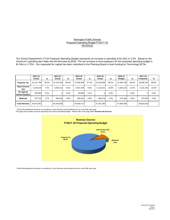#### Barrington Public Schools **REVENUE** Proposed Operating Budget FY2017-18

The School Department's FY18 Proposed Operating Budget represents an increase in spending of \$1.53m or 3.2%. Based on the Governor's spending plan State Aid will decrease by \$53k. The net increase to local taxpayers for the proposed operating budget is \$1.59m or 3.75%. Our requested for capital has been submitted to the Planning Board is level funding for Technology \$275k.

|                                    | 2012-13<br>Actual | %     | 2013-14<br>Actual | %     | 2014-15<br>Actual | %     | 2015-16<br>Actual | %     | 2016-17<br><b>Budget</b> | %     | 2017-18<br>Proposed | %     |
|------------------------------------|-------------------|-------|-------------------|-------|-------------------|-------|-------------------|-------|--------------------------|-------|---------------------|-------|
| <b>Property Tax</b>                | 41,137,799        | 90.5% | 41,130,348        | 88.5% | 41,395,859        | 87.3% | 41,816,809        | 88.2% | 42,406,188               | 88.4% | 43.996.420          | 88.9% |
| <b>State General</b><br>Aid        | 3,329,516         | 7.3%  | 3,936,151         | 8.5%  | 4,647,339         | 9.8%  | 5,116,011         | 10.8% | 5,285,210                | 11.0% | 5,231,402           | 10.6% |
| Re-Approp<br><b>School Surplus</b> | 200,000           | 0.4%  |                   | 0.0%  | 50.000            | 0.1%  | $\overline{0}$    | 0.0%  |                          | 0.0%  | 0.                  | 0.0%  |
| <b>Medicaid</b>                    | 307,376           | 0.7%  | 368,339           | 0.8%  | 400.519           | 0.8%  | 468.574           | 1.0%  | 275.000                  | 0.6%  | 275,000             | 0.6%  |
| <b>Total Revenue</b>               | 44.974.691        |       | 45,434,838        |       | 46,493,717        |       | 47,401,394        |       | 47,966,398               |       | 49,502,822          |       |

\* School Miscellaneous Revenue is recorded as Town Revenue and transferred out on June 30th each year

This page only includes revenue supporting the School Operating Budget. Please refer to the page titled "**Revenue All Sources**"



\* School Miscellaneous Revenue is recorded as Town Revenue and transferred out on June 30th each year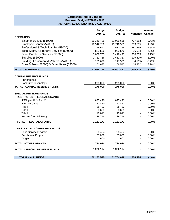#### **Barrington Public Schools Proposed Budget FY2017 - 2018 ANTICIPATED EXPENDITURES ALL FUNDS**

|                                                                    | <b>Budget</b><br>2016-17 | <b>Budget</b><br>2017-18 | Variance                 | <b>Percent</b><br>Change |
|--------------------------------------------------------------------|--------------------------|--------------------------|--------------------------|--------------------------|
| <b>OPERATING</b>                                                   |                          |                          |                          |                          |
| Salary Increases (51000)                                           | 30,349,485               | 31,086,638               | 737,153                  | 2.43%                    |
| Employee Benefit (52000)                                           | 10,542,786               | 10,746,551               | 203,765                  | 1.93%                    |
| Professional & Technical Ser (53000)                               | 1,248,697                | 1,530,156                | 281,459                  | 22.54%                   |
| Tech, Maint, & Property Services (54000)                           | 887,556                  | 923,570                  | 36,014                   | 4.06%                    |
| Other Purchase Services (55000)                                    | 3,032,735                | 3,419,490                | 386,755                  | 12.75%                   |
| <b>Supplies (56000)</b>                                            | 1,731,766                | 1,612,337                | (119, 429)               | $-6.90%$                 |
| Building, Equipment & Vehicles (57000)                             | 121,698                  | 117,533                  | (4, 165)                 | $-3.42%$                 |
| Dues & Fees (58000) & Other Items (59000)                          | 51,675                   | 66,547                   | 14,872                   | 28.78%                   |
| <b>TOTAL OPERATING</b>                                             | 47,966,398               | 49,502,822               | 1,536,424                | 3.20%                    |
| <b>CAPITAL RESERVE FUNDS</b>                                       |                          |                          |                          |                          |
| Playgrounds                                                        |                          |                          |                          |                          |
| <b>Computer Technology</b>                                         | 275,000                  | 275,000                  |                          | 0.00%                    |
| <b>TOTAL - CAPTIAL RESERVE FUNDS</b>                               | 275,000                  | 275,000                  |                          | 0.00%                    |
| <b>SPECIAL REVENUE FUNDS</b><br><b>RESTRICTED - FEDERAL GRANTS</b> |                          |                          |                          |                          |
| IDEA part B (pl94-142)                                             | 877,490                  | 877,490                  |                          | 0.00%                    |
| IDEA SEC 619                                                       | 27,820                   | 27,820                   |                          | 0.00%                    |
| Title I                                                            | 88,483                   | 88,483                   |                          | 0.00%                    |
| Title II                                                           | 88,625                   | 88,625                   |                          | 0.00%                    |
| Title III<br>Perkins (Voc Ed Prog)                                 | 10,011<br>39,744         | 10,011<br>39,744         | $\overline{\phantom{a}}$ | 0.00%<br>0.00%           |
| <b>TOTAL - FEDERAL GRANTS</b>                                      | 1,132,173                | 1,132,173                |                          | 0.00%                    |
|                                                                    |                          |                          |                          |                          |
| <b>RESTRICTED - OTHER PROGRAMS</b>                                 |                          |                          |                          |                          |
| Food Service Program                                               | 758,424                  | 758,424                  |                          | 0.00%                    |
| <b>Enrichment Program</b>                                          | 35,000                   | 35,000                   |                          | 0.00%                    |
| Target                                                             | 600                      | 600                      |                          | 0.00%                    |
| <b>TOTAL - OTHER GRANTS</b>                                        | 794,024                  | 794,024                  |                          | 0.00%                    |
| <b>TOTAL - SPECIAL REVENUE FUNDS</b>                               | 1,926,197                | 1,926,197                |                          | 0.00%                    |
| <b>TOTAL - ALL FUNDS</b>                                           | 50,167,595               | 51,704,019               | 1,536,424                | 3.06%                    |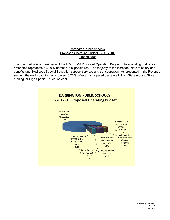#### Barrington Public Schools **Expenditures** Proposed Operating Budget FY2017-18

The chart below is a breakdown of the FY2017-18 Proposed Operating Budget. The operating budget as presented represents a 3.20% increase in expenditures. The majority of the increase relate to salary and benefits and fixed cost, Special Education support services and transportation. As presented in the Revenue section, the net impact to the taxpayers 3.75%, after an anticipated decrease in both State Aid and State funding for High Special Education cost.

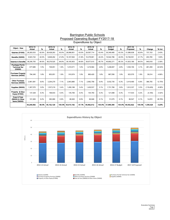#### Expenditures by Object Proposed Operating Budget FY2017-18 **Barrington Public Schools**

| Object - New                                       | 2012-13<br>Actual | %     | 2013-14<br>Actual | %      | 2014-15<br>Actual | %     | 2015-16<br>Actual | %      | 2016-17    | %      | 2017-18    | %      |            | % Incr   |
|----------------------------------------------------|-------------------|-------|-------------------|--------|-------------------|-------|-------------------|--------|------------|--------|------------|--------|------------|----------|
|                                                    |                   |       |                   |        |                   |       |                   |        | Budget     |        | Proposed   |        | Change     |          |
| <b>Salaries (51000)</b>                            | 28,283,033        | 62.6% | 28,428,263        | 63.0%  | 28,998,951        | 63.0% | 29,597,714        | 63.4%  | 30,349,485 | 63.3%  | 31.086.638 | 62.8%  | 737,153    | 2.43%    |
| <b>Benefits (52000)</b>                            | 9,923,722         | 22.0% | 9,848,262         | 21.8%  | 10,167,002        | 21.8% | 10,379,901        | 22.2%  | 10,542,786 | 22.0%  | 10,746,551 | 21.7%  | 203,765    | 1.93%    |
| <b>Salaries &amp; Benefits</b>                     | 38.206.755        | 84.6% | 38,276,525        | 84.8%  | 39.165.953        | 84.8% | 39,977,615        | 85.7%  | 40,892,271 | 85.3%  | 41,833,189 | 84.5%  | 940,918    | 2.30%    |
| Purchase Prof &<br><b>Technical Ser</b><br>(53000) | 677.685           | 1.5%  | 729.051           | 1.6%   | 1.010.571         | 1.6%  | 1.219.584         | 2.6%   | 1.248.697  | 2.6%   | 1.530.156  | 3.1%   | 281.459    | 22.54%   |
| <b>Purchase Property</b><br>Services (54000)       | 794,345           | 1.8%  | 853,051           | 1.9%   | 910.974           | 1.9%  | 860,420           | 1.8%   | 887,556    | 1.9%   | 923,570    | 1.9%   | 36,014     | 4.06%    |
| <b>Other Purchase</b><br>Services (55000)          | 2.961.081         | 6.6%  | 3,204,270         | 7.1%   | 2.843.880         | 7.1%  | 2,962,758         | 6.4%   | 3,032,735  | 6.3%   | 3.419.490  | 6.9%   | 386,755    | 12.75%   |
| <b>Supplies (56000)</b>                            | 1.367.570         | 3.0%  | 1.537.219         | 3.4%   | 1.456.188         | 3.4%  | 1.430.537         | 3.1%   | 1.731.766  | 3.6%   | 1.612.337  | 3.3%   | (119, 429) | $-6.90%$ |
| Property & Educ<br>Equip (57000)                   | 137,329           | 0.3%  | 168,933           | 0.4%   | 135,706           | 0.4%  | 144.750           | 0.3%   | 121,698    | 0.3%   | 117,533    | 0.2%   | (4, 165)   | $-3.42%$ |
| Dues & Fees<br>(58000) & Other<br>Items (59000)    | 101.926           | 0.2%  | 383.080           | 0.9%   | 86.920            | 0.9%  | 66.948            | 0.1%   | 51,675     | 0.1%   | 66.547     | 0.1%   | 14,872     | 28.78%   |
|                                                    | 44,246,692        | 98.0% | 45, 152, 129      | 100.0% | 45,610,192        | 97.7% | 46,662,612        | 100.0% | 47,966,398 | 100.0% | 49,502,822 | 100.0% | 1,536,424  | 3.20%    |

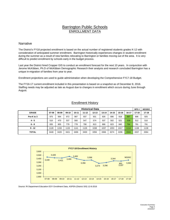## Barrington Public Schools ENROLLMENT DATA

#### **Narrative**

The District's FY18 projected enrollment is based on the actual number of registered students grades K-12 with consideration of anticipated summer enrollment. Barrington historically experiences changes in student enrollment during the summer as a result of new families relocating to Barrington or families moving out of the area. It is very difficult to predict enrollment by schools early in the budget process.

Last year the District hired Cropper GIS to conduct an enrollment forecast for the next 10 years. In conjunction with Jerome McKibben, Ph.D of McKibben Demographic Research their analysis and research concluded Barrington has a unique in-migration of families from year to year.

Enrollment projections are used to guide administration when developing the Comprehensive FY17-18 Budget.

The FY16-17 current enrollment included in this presentation is based on a snapshot as of December 8, 2016. Staffing needs may be adjusted as late as August due to changes in enrollment which occurs during June through August.

|  | <b>Enrollment History</b> |
|--|---------------------------|
|  |                           |

|              |       | <b>Historical Data</b> |       |           |           |           |           |       |       |       | BPS#      | <b>NESDEC</b> |
|--------------|-------|------------------------|-------|-----------|-----------|-----------|-----------|-------|-------|-------|-----------|---------------|
| <b>GRADE</b> | 07-08 | 08-09                  | 09-10 | $10 - 11$ | $11 - 12$ | $12 - 13$ | $13 - 14$ | 14-15 | 15-16 | 16-17 | $17 - 18$ | $17 - 18$     |
| Pre-K to 3   | 975   | 994                    | 972   | 987       | 937       | 931       | 926       | 896   | 918   | 897   | 896       | 925           |
| $4 - 5$      | 510   | 470                    | 537   | 560       | 547       | 574       | 537       | 502   | 521   | 539   | 512       | 510           |
| $6 - 8$      | 835   | 805                    | 779   | 778       | 790       | 813       | 866       | 823   | 840   | 794   | 791       | 791           |
| $9 - 12$     | 1128  | 159                    | 1133  | 1141      | 1126      | 1038      | 1037      | 1053  | 1017  | 1114  | 1138      | 1138          |
| <b>TOTAL</b> | 3448  | 3428                   | 3421  | 3466      | 3400      | 3356      | 3366      | 3274  | 3296  | 3344  | 3337      | 3364          |



Source: RI Department Education EOY Enrollment Data, ASPEN (District SIS) 12-8-2016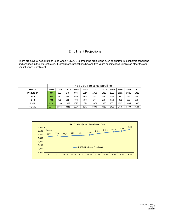### Enrollment Projections

There are several assumptions used when NESDEC is preparing projections such as short term economic conditions and changes in the interest rates. Furthermore, projections beyond five years become less reliable as other factors can influence enrollment.

|              |       | <b>NESDEC Projected Enrollment</b> |       |       |           |           |           |           |       |           |       |  |
|--------------|-------|------------------------------------|-------|-------|-----------|-----------|-----------|-----------|-------|-----------|-------|--|
| <b>GRADE</b> | 16-17 | 17-18                              | 18-19 | 19-20 | $20 - 21$ | $21 - 22$ | $22 - 23$ | $23 - 24$ | 24-25 | $25 - 26$ | 26-27 |  |
| Pre-K to 3 * | 897   | 925                                | 943   | 994   | 1014      | 1010      | 1026      | 1025      | 1012  | 1021      | 1022  |  |
| $4 - 5$      | 539   | 510                                | 494   | 486   | 509       | 563       | 556       | 558       | 590   | 581       | 564   |  |
| $6 - 8$      | 794   | 791                                | 812   | 796   | 780       | 744       | 779       | 812       | 851   | 862       | 878   |  |
| $9 - 12$     | 1114  | 1138                               | 1092  | 1098  | 1074      | 1073      | 1065      | 1061      | 1025  | 1035      | 1080  |  |
| <b>TOTAL</b> | 3344  | 3364                               | 3341  | 3374  | 3377      | 3390      | 3426      | 3456      | 3478  | 3499      | 3544  |  |

|       |           |           |           |           |           | <b>FY17-18 Projected Enrollment Data</b> |           |           |           |           |           |
|-------|-----------|-----------|-----------|-----------|-----------|------------------------------------------|-----------|-----------|-----------|-----------|-----------|
| 3,600 |           |           |           |           |           |                                          |           |           | 3478      | 3499      | 3544      |
| 3,500 | Current   |           |           | 3374      | 3377      | 3390                                     | 3426      | 3456      |           |           |           |
| 3,400 | 3344      | 3364      | 3341      |           |           |                                          |           |           |           |           |           |
| 3,300 |           |           |           |           |           |                                          |           |           |           |           |           |
| 3,200 |           |           |           |           |           |                                          |           |           |           |           |           |
| 3,100 |           |           |           |           |           | -NESDEC Projected Enrollment             |           |           |           |           |           |
| 3,000 |           |           |           |           |           |                                          |           |           |           |           |           |
| 2,900 |           |           |           |           |           |                                          |           |           |           |           |           |
|       | $16 - 17$ | $17 - 18$ | $18 - 19$ | $19 - 20$ | $20 - 21$ | $21 - 22$                                | $22 - 23$ | $23 - 24$ | $24 - 25$ | $25 - 26$ | $26 - 27$ |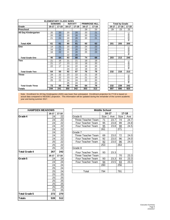| <b>ELEMENTARY CLASS SIZES</b> |           |               |           |               |           |                      |           |                       |           |
|-------------------------------|-----------|---------------|-----------|---------------|-----------|----------------------|-----------|-----------------------|-----------|
|                               |           | <b>SOWAMS</b> |           | <b>NAYATT</b> |           | <b>PRIMROSE HILL</b> |           | <b>Total by Grade</b> |           |
| Grade                         | $16 - 17$ | $17 - 18$     | $16 - 17$ | $17 - 18$     | $16 - 17$ | $17 - 18$            | $16 - 17$ | $17 - 18$             | $17 - 18$ |
| Preschool                     |           |               |           |               | 29        | 23                   | 29        | 23                    | 25        |
| <b>All Day Kindergarten</b>   | 20        | 20            | 20        | 20            | 20        | 21                   |           |                       |           |
|                               | 20        | 20            | 20        | 20            | 20        | 21                   |           |                       | NESDEC    |
|                               | 21        | 21            | 20        | 20            | 20        | 21                   |           |                       |           |
|                               |           |               | 20        | 21            |           |                      |           |                       |           |
| <b>Total ADK</b>              | 61        | 61            | 80        | 81            | 60        | 63                   | 201       | 205                   | 205       |
| One                           | 14        | 21            | 20        | 20            | 24        | 23                   |           |                       |           |
|                               | 16        | 21            | 20        | 20            | 25        | 23                   |           |                       | NESDEC    |
|                               | 16        | 22            | 21        | 20            | 25        | 23                   |           |                       |           |
|                               |           |               | 22        | 20            |           |                      |           |                       |           |
| <b>Total Grade One</b>        | 46        | 64            | 83        | 80            | 74        | 69                   | 203       | 213                   | 240       |
| Two                           | 21        | 16            | 21        | 21            | 19        | 19                   |           |                       |           |
|                               | 21        | 17            | 23        | 22            | 19        | 20                   |           |                       |           |
|                               | 22        | 17            | 24        | 22            | 19        | 20                   |           |                       | NESDEC    |
|                               |           |               | 24        | 22            | 19        | 20                   |           |                       |           |
| <b>Total Grade Two</b>        | 64        | 50            | 92        | 87            | 76        | 79                   | 232       | 216                   | 213       |
| Three                         | 24        | 22            | 23        | 22            | 21        | 19                   |           |                       |           |
|                               | 24        | 22            | 23        | 24            | 21        | 20                   |           |                       |           |
|                               | 25        | 22            | 24        | 24            | 22        | 20                   |           |                       | NESDEC    |
|                               |           |               | 25        | 24            |           | 20                   |           |                       |           |
| <b>Total Grade Three</b>      | 73        | 66            | 95        | 94            | 64        | 79                   | 232       | 239                   | 242       |
| Totals                        | 244       | 241           | 350       | 342           | 303       | 313                  | 897       | 896                   | 925       |

|           | <b>Total by Grade</b> |           |  |  |  |  |  |
|-----------|-----------------------|-----------|--|--|--|--|--|
| $16 - 17$ | $17 - 18$             | $17 - 18$ |  |  |  |  |  |
| 29        | 23                    | 25        |  |  |  |  |  |
|           |                       | NESDEC    |  |  |  |  |  |
| 201       | 205                   | 205       |  |  |  |  |  |
|           |                       | SDEC<br>Ψ |  |  |  |  |  |
| 203       | 213                   | 240       |  |  |  |  |  |
|           |                       | NESDEC    |  |  |  |  |  |
| 232       | 216                   | 213       |  |  |  |  |  |
|           |                       | NESDEC    |  |  |  |  |  |
| 232       | 239                   | 242       |  |  |  |  |  |
| 897       | 896                   | 925       |  |  |  |  |  |

Note: Enrollment for All Day Kindergarten (ADK) was lower than anticipated. Enrollment projection for FY18 is based on actual data compared to NESDEC projection. This information will be updated during the remainder of the current academic year and during summer 2017.

| <b>HAMPDEN MEADOWS</b> |           |                 |                           | <b>Middle School</b> |  |
|------------------------|-----------|-----------------|---------------------------|----------------------|--|
|                        | $16 - 17$ | $17 - 18$       |                           | $16 - 17$            |  |
| Grade 4                | 24        | 22              | Grade 6                   | Size                 |  |
|                        | 24        | 22              | <b>Three Teacher Team</b> | 71                   |  |
|                        | 24        | 22              | Four Teacher Team         | 95                   |  |
|                        | 24        | $\overline{22}$ | Four Teacher Team         | 95                   |  |
|                        | 24        | $\overline{22}$ |                           | 261                  |  |
|                        | 24        | 22              | Grade 7                   |                      |  |
|                        | 24        | 22              | Three Teacher Team        | 69                   |  |
|                        | 24        | 22              | Four Teacher Team         | 92                   |  |
|                        | 25        | 22              | Four Teacher Team         | 92                   |  |
|                        | 25        | 22              |                           | 253                  |  |
|                        | 25        | 22              | Grade 8                   |                      |  |
| <b>Total Grade 4</b>   | 267       | 242             | Four Teacher Team         | 93                   |  |
|                        | $16 - 17$ | $17 - 18$       | Three Teacher Team        |                      |  |
| Grade 5                | 24        | 24              | Four Teacher Team         | 93                   |  |
|                        | 24        | 24              | Four Teacher Team         | 94                   |  |
|                        | 24        | $\overline{24}$ |                           | 280                  |  |
|                        | 25        | $\overline{24}$ |                           |                      |  |
|                        | 25        | $\overline{24}$ | Total                     | 794                  |  |
|                        | 25        | 25              |                           |                      |  |
|                        | 25        | 25              |                           |                      |  |
|                        | 25        | 25              |                           |                      |  |
|                        | 25        | 25              |                           |                      |  |
|                        | 25        | 25              |                           |                      |  |
|                        | 25        | 25              |                           |                      |  |
| <b>Total Grade 5</b>   | 272       | 270             |                           |                      |  |
| Totals                 | 539       | 512             |                           |                      |  |

| <b>HAMPDEN MEADOWS</b> |           |           |                    | <b>Middle School</b> |       |      |           |
|------------------------|-----------|-----------|--------------------|----------------------|-------|------|-----------|
|                        | $16 - 17$ | $17 - 18$ |                    |                      | 16-17 |      | $17 - 18$ |
| Grade 4                | 24        | 22        | Grade 6            | Size                 | Ave   | Size | Ave       |
|                        | 24        | 22        | Three Teacher Team | 71                   | 23.7  | 74   | 24.7      |
|                        | 24        | 22        | Four Teacher Team  | 95                   | 23.8  | 99   | 24.8      |
|                        | 24        | 22        | Four Teacher Team  | 95                   | 23.8  | 98   | 24.5      |
|                        | 24        | 22        |                    | 261                  |       | 271  |           |
|                        | 24        | 22        | Grade 7            |                      |       |      |           |
|                        | 24        | 22        | Three Teacher Team | 69                   | 23.0  | 72   | 24.0      |
|                        | 24        | 22        | Four Teacher Team  | 92                   | 23.0  | 96   | 24.0      |
|                        | 25        | 22        | Four Teacher Team  | 92                   | 23.0  | 96   | 24.0      |
|                        | 25        | 22        |                    | 253                  |       | 264  |           |
|                        | 25        | 22        | Grade 8            |                      |       |      |           |
| Total Grade 4          | 267       | 242       | Four Teacher Team  | 93                   | 23.3  |      |           |
|                        | $16 - 17$ | $17 - 18$ | Three Teacher Team |                      |       | 70   | 23.3      |
| Grade 5                | 24        | 24        | Four Teacher Team  | 93                   | 23.3  | 93   | 23.3      |
|                        | 24        | 24        | Four Teacher Team  | 94                   | 23.5  | 93   | 23.3      |
|                        | 24        | 24        |                    | 280                  |       | 256  |           |
|                        | 25        | 24        |                    |                      |       |      |           |
|                        | 25        | 24        | Total              | 794                  |       | 791  |           |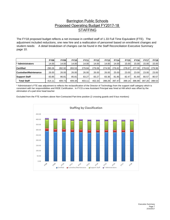## Barrington Public Schools Proposed Operating Budget FY2017-18 **STAFFING**

The FY18 proposed budget reflects a net increase in certified staff of 1.33 Full Time Equivalent (FTE). The adjustment included reductions, one new hire and a reallocation of personnel based on enrollment changes and student needs: A detail breakdown of changes can be found in the Staff Reconciliation Executive Summary page 10.

|                             | <b>FY08</b> | <b>FY09</b> | <b>FY10</b> | <b>FY11</b> | <b>FY12</b> | <b>FY13</b> | <b>FY14</b> | <b>FY15</b> | <b>FY16</b> | <b>FY17</b> | <b>FY18</b> |
|-----------------------------|-------------|-------------|-------------|-------------|-------------|-------------|-------------|-------------|-------------|-------------|-------------|
| <sup>*</sup> Administrators | 14.00       | 14.00       | 14.00       | 14.00       | 14.00       | 14.00       | 14.00       | 15.00       | 15.00       | 15.00       | 15.00       |
| <b>Certified</b>            | 290.26      | 282.92      | 283.53      | 279.84      | 279.06      | 274.93      | 276.62      | 278.67      | 277.30      | 278.63      | 279.96      |
| Custodian/Maintenance       | 26.00       | 26.00       | 26.00       | 26.00       | 26.00       | 26.00       | 25.00       | 23.00       | 23.00       | 23.00       | 23.00       |
| <b>Support Staff</b>        | 83.85       | 86.81       | 85.81       | 83.27       | 83.27       | 83.36       | 81.85       | 82.47       | 81.69       | 80.57       | 80.57       |
| <b>Total Staff</b>          | 414.11      | 409.73      | 409.34      | 403.11      | 402.33      | 398.29      | 397.47      | 399.14      | 396.99      | 397.20      | 398.53      |

\* Administrator's FTE was adjustment to reflects the reclassification of the Director of Technology from the support staff category which is consistent with her responsibilities and RIDE Certification. In FY15 a new Assistant Principal was hired at HM which was offset by the elimination of a part-time head teacher

Excluded from the FTE numbers above Non-Contracted Part-time position (2 crossing guards and 9 bus monitors)

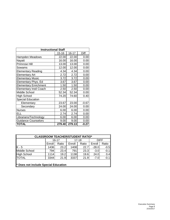| <b>Instructional Staff</b>    |           |           |         |
|-------------------------------|-----------|-----------|---------|
|                               | $15 - 16$ | $16 - 17$ | Diff    |
| Hampden Meadows               | 22.00     | 22.00     | 0.00    |
| Nayatt                        | 16.00     | 16.00     | 0.00    |
| Primrose Hill                 | 13.00     | 13.00     | 0.00    |
| Sowams                        | 12.00     | 12.00     | 0.00    |
| <b>Elementary Reading</b>     | 4.34      | 4.34      | 0.00    |
| <b>Elementary Art</b>         | 2.72      | 2.72      | 0.00    |
| <b>Elementary Music</b>       | 3.72      | 3.72      | 0.00    |
| Elementary Phys. Ed           | 3.67      | 3.67      | 0.00    |
| <b>Elementary Enrichment</b>  | 1.50      | 1.50      | 0.00    |
| <b>Elementary Instl Coach</b> | 2.50      | 2.50      | 0.00    |
| Middle School                 | 52.34     | 52.34     | 0.00    |
| <b>High School</b>            | 74.20     | 74.60     | 0.40    |
| <b>Special Education</b>      |           |           |         |
| Elementary                    | 23.67     | 23.00     | -0.67   |
| Secondary                     | 24.00     | 24.00     | 0.00    |
| <b>Nurses</b>                 | 6.00      | 6.00      | 0.00    |
| FH.                           | 2.74      | 2.74      | 0.00    |
| Librarians/Technology         | 6.00      | 6.00      | 0.00    |
| <b>Guidance Counselors</b>    | 9.00      | 9.00      | 0.00    |
| <b>TOTAL</b>                  | 279.40    | 279.13    | $-0.27$ |

| <b>CLASSROOM TEACHER/STUDENT RATIO*</b> |        |       |        |           |             |        |  |  |  |  |  |
|-----------------------------------------|--------|-------|--------|-----------|-------------|--------|--|--|--|--|--|
|                                         |        | 16-17 |        | $17 - 18$ | <b>DIFF</b> |        |  |  |  |  |  |
|                                         | Enroll | Ratio | Enroll | Ratio     | Enroll      | Ratio  |  |  |  |  |  |
| $K - 5$                                 | 1436   | 23.2  | 1408   | 22.7      | $-28.0$     | $-0.5$ |  |  |  |  |  |
| Middle School                           | 794    | 23.4  | 791    | 23.3      | $-3.0$      | $-0.1$ |  |  |  |  |  |
| High School                             | 1114   | 19.2  | 1138   | 19.6      | 24.0        | 0.4    |  |  |  |  |  |
| <b>TOTAL</b>                            | 3344   | 21.9  | 3337   | 21.9      | $-7.0$      | $-0.1$ |  |  |  |  |  |
|                                         |        |       |        |           |             |        |  |  |  |  |  |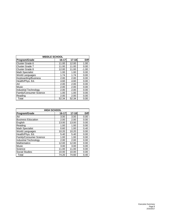| <b>MIDDLE SCHOOL</b>    |           |           |             |  |  |  |  |  |  |
|-------------------------|-----------|-----------|-------------|--|--|--|--|--|--|
| Program/Grade           | $16 - 17$ | $17 - 18$ | <b>Diff</b> |  |  |  |  |  |  |
| Cluster Grade 6         | 11.00     | 12.00     | 1.00        |  |  |  |  |  |  |
| Cluster Grade 7         | 11.00     | 11.00     | 0.00        |  |  |  |  |  |  |
| <b>Cluster Grade 8</b>  | 12.00     | 11.00     | $-1.00$     |  |  |  |  |  |  |
| <b>Math Specialist</b>  | 1.00      | 1.00      | 0.00        |  |  |  |  |  |  |
| World Languages         | 1.74      | 1.74      | 0.00        |  |  |  |  |  |  |
| Keyboarding/Business    | 2.00      | 2.00      | 0.00        |  |  |  |  |  |  |
| Health/Phys. Ed.        | 4.60      | 4.60      | 0.00        |  |  |  |  |  |  |
| Art                     | 2.00      | 2.00      | 0.00        |  |  |  |  |  |  |
| Music                   | 2.00      | 2.00      | 0.00        |  |  |  |  |  |  |
| Industrial Technology   | 2.00      | 2.00      | 0.00        |  |  |  |  |  |  |
| Family/Consumer Science | 1.00      | 1.00      | 0.00        |  |  |  |  |  |  |
| Reading                 | 2.00      | 2.00      | 0.00        |  |  |  |  |  |  |
| Total                   | 52.34     | 52.34     | 0.00        |  |  |  |  |  |  |

| <b>HIGH SCHOOL</b>           |           |           |             |
|------------------------------|-----------|-----------|-------------|
| Program/Grade                | $16 - 17$ | $17 - 18$ | <b>Diff</b> |
| Art                          | 3.00      | 3.00      | 0.00        |
| <b>Business Education</b>    | 2.00      | 2.00      | 0.00        |
| English                      | 13.00     | 13.00     | 0.00        |
| Reading                      | 1.00      | 1.00      | 0.00        |
| Math Specialist              | 0.60      | 1.00      | 0.40        |
| <b>World Languages</b>       | 10.20     | 10.20     | 0.00        |
| Health/Phys. Ed.             | 5.40      | 5.40      | 0.00        |
| Family/Consumer Science      | 1.00      | 1.00      | 0.00        |
| <b>Industrial Technology</b> | 2.00      | 2.00      | 0.00        |
| <b>Mathematics</b>           | 12.00     | 12.00     | 0.00        |
| Music                        | 3.00      | 3.00      | 0.00        |
| Science                      | 11.00     | 11.00     | 0.00        |
| <b>Social Studies</b>        | 10.00     | 10.00     | 0.00        |
| Total                        | 74.20     | 74.60     | 0.40        |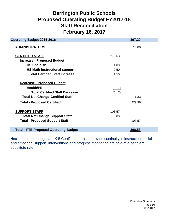## **Barrington Public Schools Staff Reconciliation February 16, 2017 Proposed Operating Budget FY2017-18**

| <b>Operating Budget 2015-2016</b>            |        | 397.20      |  |
|----------------------------------------------|--------|-------------|--|
| <b>ADMINISTRATORS</b>                        |        | 15.00       |  |
| <b>CERTIFIED STAFF</b>                       | 278.63 |             |  |
| <b>Increase - Proposed Budget</b>            |        |             |  |
| <b>HS Spainish</b>                           | 1.00   |             |  |
| <b>HS Math instructional support</b>         | 0.50   |             |  |
| <b>Total Certified Staff Increase</b>        | 1.50   |             |  |
| <b>Decrease - Proposed Budget</b>            |        |             |  |
| <b>Health/PE</b>                             | (0.17) |             |  |
| <b>Total Certified Staff Decrease</b>        | (0.17) |             |  |
| <b>Total Net Change Certified Staff</b>      |        | <u>1.33</u> |  |
| <b>Total - Proposed Certified</b>            |        | 279.96      |  |
| <b>SUPPORT STAFF</b>                         | 103.57 |             |  |
| <b>Total Net Change Support Staff</b>        | 0.00   |             |  |
| <b>Total - Proposed Support Staff</b>        |        | 103.57      |  |
|                                              |        |             |  |
| <b>Total - FTE Proposed Operating Budget</b> |        | 398.53      |  |

•Included in the budget are K-5 Certified Interns to provide continuity in instruction, social and emotional support, interventions and progress monitoring are paid at a per diem substitute rate.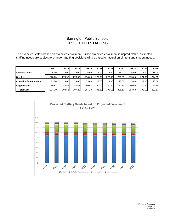## Barrington Public Schools PROJECTED STAFFING

The projected staff is based on projected enrollment. Since projected enrollment is unpredictable, estimated staffing needs are subject to change. Staffing decisions will be based on actual enrollment and student needs.

|                       | <b>FY17</b> | <b>FY18</b> | <b>FY19</b> | <b>FY20</b> | <b>FY21</b> | <b>FY22</b> | <b>FY23</b> | <b>FY24</b> | <b>FY25</b> | <b>FY26</b> |
|-----------------------|-------------|-------------|-------------|-------------|-------------|-------------|-------------|-------------|-------------|-------------|
| <b>Administrators</b> | 15.00       | 15.00       | 15.00       | 15.00       | 15.00       | 15.00       | 15.00       | 15.00       | 15.00       | 15.00       |
| <b>Certified</b>      | 278.63      | 279.96      | 278.63      | 278.63      | 277.63      | 276.63      | 276.63      | 275.63      | 274.63      | 274.63      |
| Custodian/Maintenance | 23.00       | 23.00       | 23.00       | 23.00       | 23.00       | 23.00       | 23.00       | 23.00       | 23.00       | 23.00       |
| <b>Support Staff</b>  | 80.57       | 80.57       | 80.57       | 80.57       | 80.00       | 80.50       | 80.50       | 80.00       | 79.50       | 79.50       |
| <b>Total Staff</b>    | 397.20      | 398.53      | 397.20      | 397.20      | 395.63      | 395.13      | 395.13      | 393.63      | 392.13      | 392.13      |